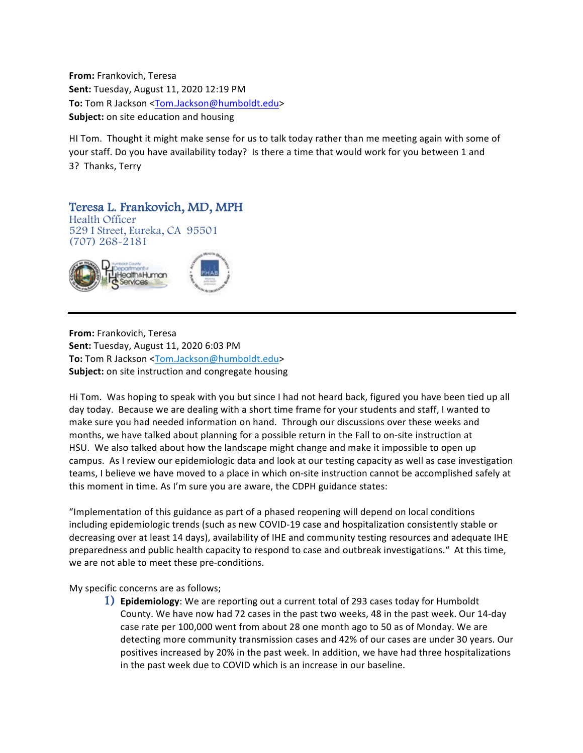**From:** Frankovich, Teresa **Sent:** Tuesday, August 11, 2020 12:19 PM To: Tom R Jackson <Tom.Jackson@humboldt.edu> **Subject:** on site education and housing

HI Tom. Thought it might make sense for us to talk today rather than me meeting again with some of your staff. Do you have availability today? Is there a time that would work for you between 1 and 3? Thanks, Terry

## Teresa L. Frankovich, MD, MPH Health Officer

529 I Street, Eureka, CA 95501 (707) 268-2181



**From:** Frankovich, Teresa **Sent:** Tuesday, August 11, 2020 6:03 PM **To:** Tom R Jackson <Tom.Jackson@humboldt.edu> **Subject:** on site instruction and congregate housing

Hi Tom. Was hoping to speak with you but since I had not heard back, figured you have been tied up all day today. Because we are dealing with a short time frame for your students and staff, I wanted to make sure you had needed information on hand. Through our discussions over these weeks and months, we have talked about planning for a possible return in the Fall to on-site instruction at HSU. We also talked about how the landscape might change and make it impossible to open up campus. As I review our epidemiologic data and look at our testing capacity as well as case investigation teams, I believe we have moved to a place in which on-site instruction cannot be accomplished safely at this moment in time. As I'm sure you are aware, the CDPH guidance states:

"Implementation of this guidance as part of a phased reopening will depend on local conditions including epidemiologic trends (such as new COVID-19 case and hospitalization consistently stable or decreasing over at least 14 days), availability of IHE and community testing resources and adequate IHE preparedness and public health capacity to respond to case and outbreak investigations." At this time, we are not able to meet these pre-conditions.

My specific concerns are as follows;

1) **Epidemiology**: We are reporting out a current total of 293 cases today for Humboldt County. We have now had 72 cases in the past two weeks, 48 in the past week. Our 14-day case rate per 100,000 went from about 28 one month ago to 50 as of Monday. We are detecting more community transmission cases and 42% of our cases are under 30 years. Our positives increased by 20% in the past week. In addition, we have had three hospitalizations in the past week due to COVID which is an increase in our baseline.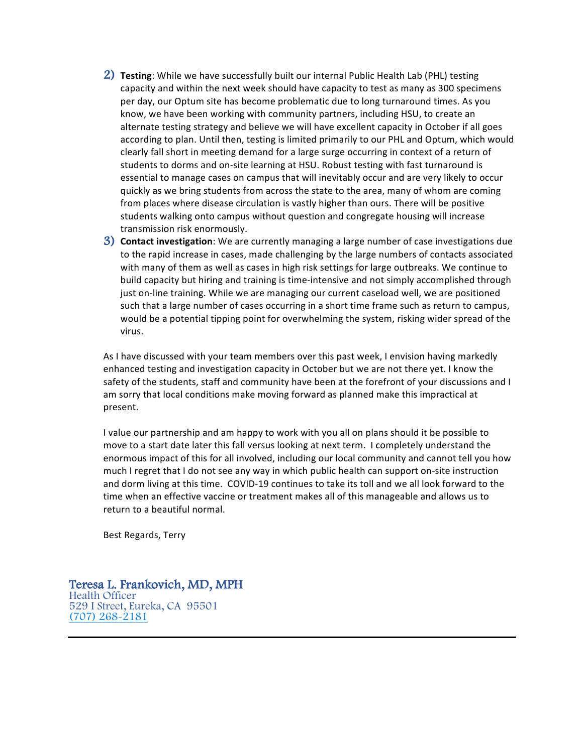- 2) **Testing**: While we have successfully built our internal Public Health Lab (PHL) testing capacity and within the next week should have capacity to test as many as 300 specimens per day, our Optum site has become problematic due to long turnaround times. As you know, we have been working with community partners, including HSU, to create an alternate testing strategy and believe we will have excellent capacity in October if all goes according to plan. Until then, testing is limited primarily to our PHL and Optum, which would clearly fall short in meeting demand for a large surge occurring in context of a return of students to dorms and on-site learning at HSU. Robust testing with fast turnaround is essential to manage cases on campus that will inevitably occur and are very likely to occur quickly as we bring students from across the state to the area, many of whom are coming from places where disease circulation is vastly higher than ours. There will be positive students walking onto campus without question and congregate housing will increase transmission risk enormously.
- **3) Contact investigation**: We are currently managing a large number of case investigations due to the rapid increase in cases, made challenging by the large numbers of contacts associated with many of them as well as cases in high risk settings for large outbreaks. We continue to build capacity but hiring and training is time-intensive and not simply accomplished through just on-line training. While we are managing our current caseload well, we are positioned such that a large number of cases occurring in a short time frame such as return to campus, would be a potential tipping point for overwhelming the system, risking wider spread of the virus.

As I have discussed with your team members over this past week, I envision having markedly enhanced testing and investigation capacity in October but we are not there yet. I know the safety of the students, staff and community have been at the forefront of your discussions and I am sorry that local conditions make moving forward as planned make this impractical at present.

I value our partnership and am happy to work with you all on plans should it be possible to move to a start date later this fall versus looking at next term. I completely understand the enormous impact of this for all involved, including our local community and cannot tell you how much I regret that I do not see any way in which public health can support on-site instruction and dorm living at this time. COVID-19 continues to take its toll and we all look forward to the time when an effective vaccine or treatment makes all of this manageable and allows us to return to a beautiful normal.

Best Regards, Terry

Teresa L. Frankovich, MD, MPH Health Officer 529 I Street, Eureka, CA 95501 (707) 268-2181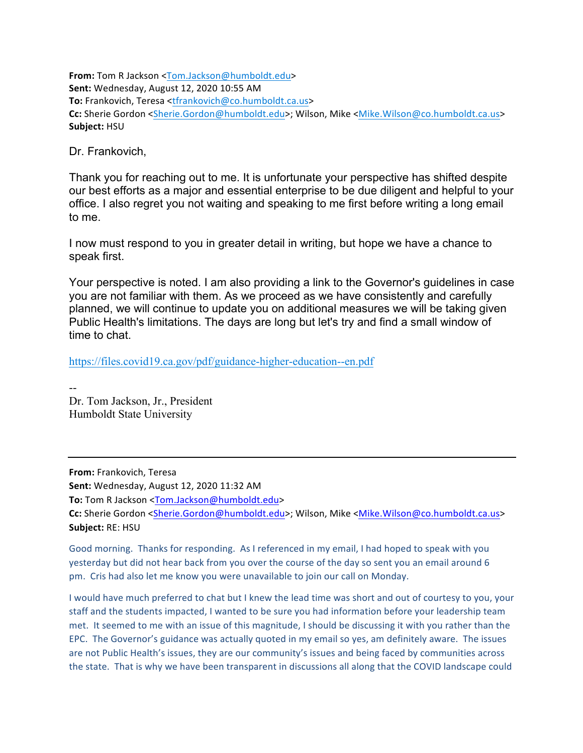From: Tom R Jackson <Tom.Jackson@humboldt.edu> **Sent:** Wednesday, August 12, 2020 10:55 AM **To:** Frankovich, Teresa <tfrankovich@co.humboldt.ca.us> Cc: Sherie Gordon <Sherie.Gordon@humboldt.edu>; Wilson, Mike <Mike.Wilson@co.humboldt.ca.us> **Subject:** HSU

Dr. Frankovich,

Thank you for reaching out to me. It is unfortunate your perspective has shifted despite our best efforts as a major and essential enterprise to be due diligent and helpful to your office. I also regret you not waiting and speaking to me first before writing a long email to me.

I now must respond to you in greater detail in writing, but hope we have a chance to speak first.

Your perspective is noted. I am also providing a link to the Governor's guidelines in case you are not familiar with them. As we proceed as we have consistently and carefully planned, we will continue to update you on additional measures we will be taking given Public Health's limitations. The days are long but let's try and find a small window of time to chat.

https://files.covid19.ca.gov/pdf/guidance-higher-education--en.pdf

-- Dr. Tom Jackson, Jr., President Humboldt State University

**From:** Frankovich, Teresa

**Sent:** Wednesday, August 12, 2020 11:32 AM

**To:** Tom R Jackson <Tom.Jackson@humboldt.edu>

Cc: Sherie Gordon <Sherie.Gordon@humboldt.edu>; Wilson, Mike <Mike.Wilson@co.humboldt.ca.us> **Subject:** RE: HSU

Good morning. Thanks for responding. As I referenced in my email, I had hoped to speak with you yesterday but did not hear back from you over the course of the day so sent you an email around 6 pm. Cris had also let me know you were unavailable to join our call on Monday.

I would have much preferred to chat but I knew the lead time was short and out of courtesy to you, your staff and the students impacted, I wanted to be sure you had information before your leadership team met. It seemed to me with an issue of this magnitude, I should be discussing it with you rather than the EPC. The Governor's guidance was actually quoted in my email so yes, am definitely aware. The issues are not Public Health's issues, they are our community's issues and being faced by communities across the state. That is why we have been transparent in discussions all along that the COVID landscape could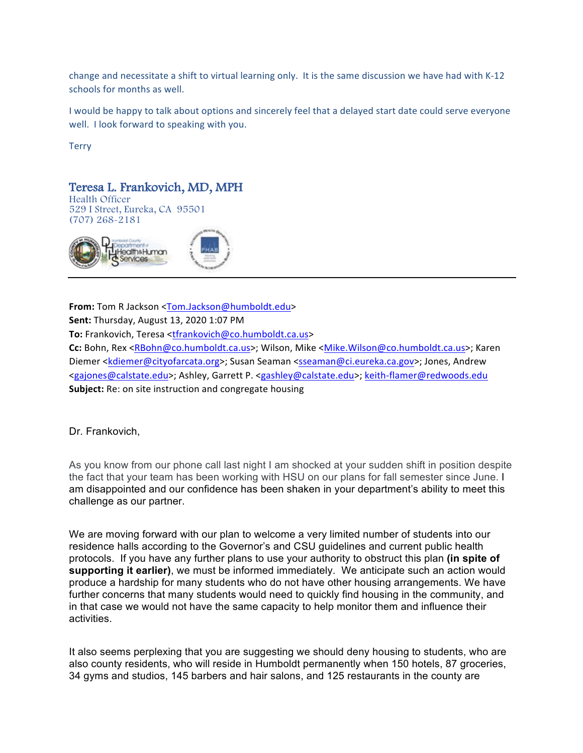change and necessitate a shift to virtual learning only. It is the same discussion we have had with K-12 schools for months as well.

I would be happy to talk about options and sincerely feel that a delayed start date could serve everyone well. I look forward to speaking with you.

**Terry** 

## **Teresa L. Frankovich, MD, MPH**<br>Health Officer

529 I Street, Eureka, CA 95501 (707) 268-2181



**From:** Tom R Jackson <Tom.Jackson@humboldt.edu>

**Sent:** Thursday, August 13, 2020 1:07 PM

To: Frankovich, Teresa <tfrankovich@co.humboldt.ca.us>

Cc: Bohn, Rex <RBohn@co.humboldt.ca.us>; Wilson, Mike <Mike.Wilson@co.humboldt.ca.us>; Karen Diemer <kdiemer@cityofarcata.org>; Susan Seaman <sseaman@ci.eureka.ca.gov>; Jones, Andrew <gajones@calstate.edu>; Ashley, Garrett P. <gashley@calstate.edu>; keith-flamer@redwoods.edu **Subject:** Re: on site instruction and congregate housing

Dr. Frankovich,

As you know from our phone call last night I am shocked at your sudden shift in position despite the fact that your team has been working with HSU on our plans for fall semester since June. I am disappointed and our confidence has been shaken in your department's ability to meet this challenge as our partner.

We are moving forward with our plan to welcome a very limited number of students into our residence halls according to the Governor's and CSU guidelines and current public health protocols. If you have any further plans to use your authority to obstruct this plan **(in spite of supporting it earlier)**, we must be informed immediately. We anticipate such an action would produce a hardship for many students who do not have other housing arrangements. We have further concerns that many students would need to quickly find housing in the community, and in that case we would not have the same capacity to help monitor them and influence their activities.

It also seems perplexing that you are suggesting we should deny housing to students, who are also county residents, who will reside in Humboldt permanently when 150 hotels, 87 groceries, 34 gyms and studios, 145 barbers and hair salons, and 125 restaurants in the county are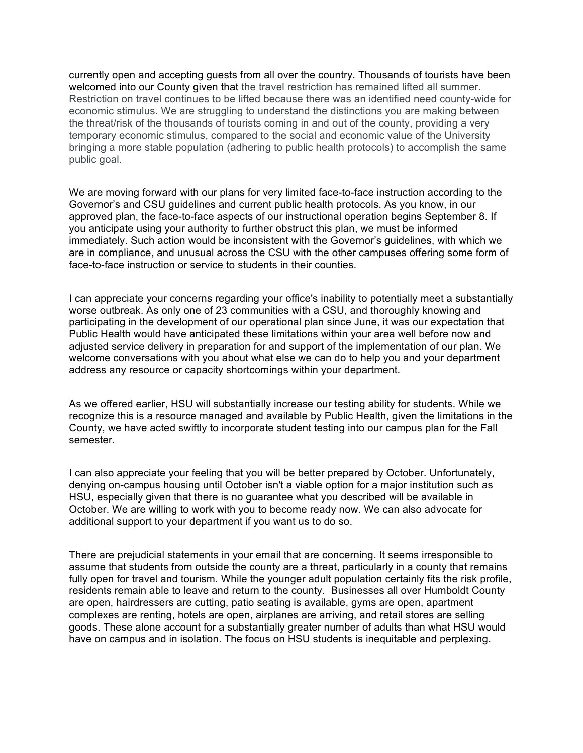currently open and accepting guests from all over the country. Thousands of tourists have been welcomed into our County given that the travel restriction has remained lifted all summer. Restriction on travel continues to be lifted because there was an identified need county-wide for economic stimulus. We are struggling to understand the distinctions you are making between the threat/risk of the thousands of tourists coming in and out of the county, providing a very temporary economic stimulus, compared to the social and economic value of the University bringing a more stable population (adhering to public health protocols) to accomplish the same public goal.

We are moving forward with our plans for very limited face-to-face instruction according to the Governor's and CSU guidelines and current public health protocols. As you know, in our approved plan, the face-to-face aspects of our instructional operation begins September 8. If you anticipate using your authority to further obstruct this plan, we must be informed immediately. Such action would be inconsistent with the Governor's guidelines, with which we are in compliance, and unusual across the CSU with the other campuses offering some form of face-to-face instruction or service to students in their counties.

I can appreciate your concerns regarding your office's inability to potentially meet a substantially worse outbreak. As only one of 23 communities with a CSU, and thoroughly knowing and participating in the development of our operational plan since June, it was our expectation that Public Health would have anticipated these limitations within your area well before now and adjusted service delivery in preparation for and support of the implementation of our plan. We welcome conversations with you about what else we can do to help you and your department address any resource or capacity shortcomings within your department.

As we offered earlier, HSU will substantially increase our testing ability for students. While we recognize this is a resource managed and available by Public Health, given the limitations in the County, we have acted swiftly to incorporate student testing into our campus plan for the Fall semester.

I can also appreciate your feeling that you will be better prepared by October. Unfortunately, denying on-campus housing until October isn't a viable option for a major institution such as HSU, especially given that there is no guarantee what you described will be available in October. We are willing to work with you to become ready now. We can also advocate for additional support to your department if you want us to do so.

There are prejudicial statements in your email that are concerning. It seems irresponsible to assume that students from outside the county are a threat, particularly in a county that remains fully open for travel and tourism. While the younger adult population certainly fits the risk profile, residents remain able to leave and return to the county. Businesses all over Humboldt County are open, hairdressers are cutting, patio seating is available, gyms are open, apartment complexes are renting, hotels are open, airplanes are arriving, and retail stores are selling goods. These alone account for a substantially greater number of adults than what HSU would have on campus and in isolation. The focus on HSU students is inequitable and perplexing.